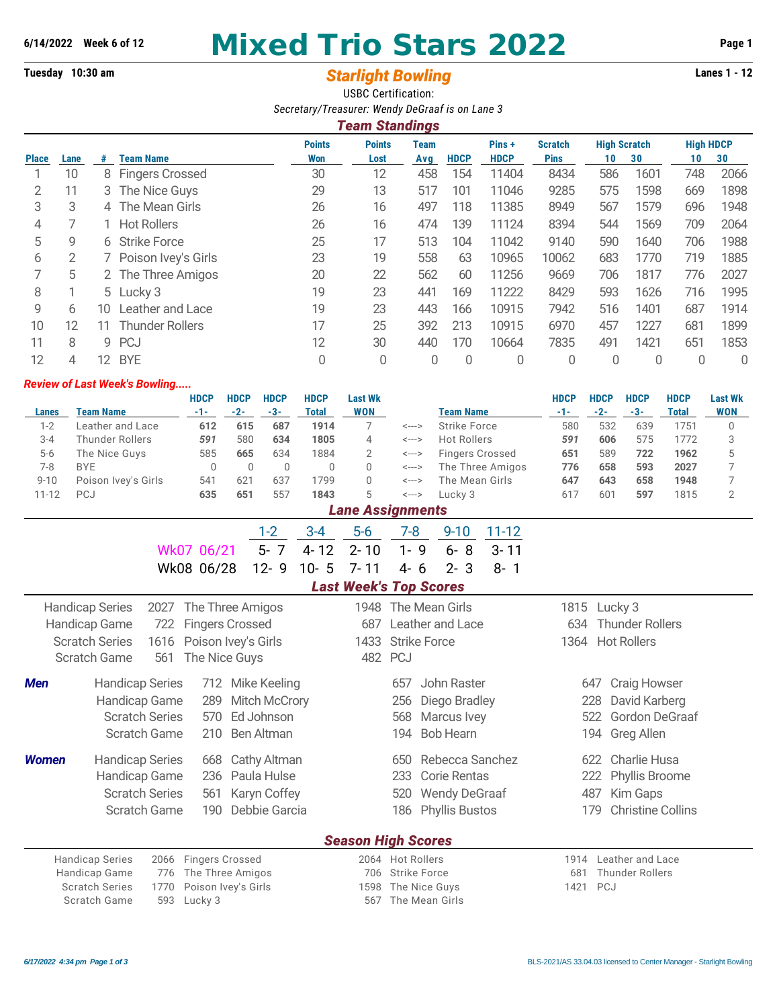# **6/14/2022 Week 6 of 12 Mixed Trio Stars 2022 Page 1**

## **Tuesday 10:30 am** *Starlight Bowling* **Lanes 1 - 12** USBC Certification:

|              |      |    |                        | Secretary/Treasurer: Wendy DeGraaf is on Lane 3 |                       |      |             |             |                |                     |      |                  |      |
|--------------|------|----|------------------------|-------------------------------------------------|-----------------------|------|-------------|-------------|----------------|---------------------|------|------------------|------|
|              |      |    |                        |                                                 | <b>Team Standings</b> |      |             |             |                |                     |      |                  |      |
|              |      |    |                        | <b>Points</b>                                   | <b>Points</b>         | Team |             | Pins+       | <b>Scratch</b> | <b>High Scratch</b> |      | <b>High HDCP</b> |      |
| <b>Place</b> | Lane | #  | <b>Team Name</b>       | Won                                             | Lost                  | Avg  | <b>HDCP</b> | <b>HDCP</b> | <b>Pins</b>    | 10                  | 30   | 10               | 30   |
|              | 10   |    | 8 Fingers Crossed      | 30                                              | 12                    | 458  | 154         | 11404       | 8434           | 586                 | 1601 | 748              | 2066 |
|              | 11   |    | 3 The Nice Guys        | 29                                              | 13                    | 517  | 101         | 11046       | 9285           | 575                 | 1598 | 669              | 1898 |
| 3            | 3    |    | 4 The Mean Girls       | 26                                              | 16                    | 497  | 118         | 11385       | 8949           | 567                 | 1579 | 696              | 1948 |
| 4            |      |    | <b>Hot Rollers</b>     | 26                                              | 16                    | 474  | 139         | 11124       | 8394           | 544                 | 1569 | 709              | 2064 |
| 5            | 9    |    | 6 Strike Force         | 25                                              | 17                    | 513  | 104         | 11042       | 9140           | 590                 | 1640 | 706              | 1988 |
| 6            | 2    |    | 7 Poison Ivey's Girls  | 23                                              | 19                    | 558  | 63          | 10965       | 10062          | 683                 | 1770 | 719              | 1885 |
|              | 5    |    | 2 The Three Amigos     | 20                                              | 22                    | 562  | 60          | 11256       | 9669           | 706                 | 1817 | 776              | 2027 |
| 8            |      |    | 5 Lucky 3              | 19                                              | 23                    | 441  | 169         | 11222       | 8429           | 593                 | 1626 | 716              | 1995 |
| 9            | 6    | 10 | Leather and Lace       | 19                                              | 23                    | 443  | 166         | 10915       | 7942           | 516                 | 1401 | 687              | 1914 |
| 10           | 12   | 11 | <b>Thunder Rollers</b> | 17                                              | 25                    | 392  | 213         | 10915       | 6970           | 457                 | 1227 | 681              | 1899 |
| 11           | 8    | 9  | <b>PCJ</b>             | 12                                              | 30                    | 440  | 170         | 10664       | 7835           | 491                 | 1421 | 651              | 1853 |
| 12           | 4    | 12 | <b>BYE</b>             | 0                                               | 0                     | 0    | 0           | 0           | 0              | 0                   | 0    | 0                | 0    |

#### *Review of Last Week's Bowling.....*

|                  |                                                                       | <b>HDCP</b>         | <b>HDCP</b>  | <b>HDCP</b>          | <b>HDCP</b>  | <b>Last Wk</b>                |                                     |                        |                  | <b>HDCP</b> | <b>HDCP</b>            | <b>HDCP</b>              | <b>HDCP</b>    | <b>Last Wk</b> |
|------------------|-----------------------------------------------------------------------|---------------------|--------------|----------------------|--------------|-------------------------------|-------------------------------------|------------------------|------------------|-------------|------------------------|--------------------------|----------------|----------------|
| <b>Lanes</b>     | <b>Team Name</b>                                                      | $-1-$               | $-2-$        | $-3-$                | <b>Total</b> | <b>WON</b>                    |                                     | <b>Team Name</b>       |                  | $-1-$       | $-2-$                  | $-3-$                    | <b>Total</b>   | <b>WON</b>     |
| $1 - 2$          | Leather and Lace                                                      | 612                 | 615          | 687                  | 1914         | 7                             | <--->                               | <b>Strike Force</b>    |                  | 580         | 532                    | 639                      | 1751           | $\mathbf 0$    |
| $3 - 4$          | <b>Thunder Rollers</b>                                                | 591                 | 580<br>665   | 634<br>634           | 1805<br>1884 | $\overline{4}$                | $\leftarrow$ $\rightarrow$          | <b>Hot Rollers</b>     |                  | 591         | 606<br>589             | 575<br>722               | 1772<br>1962   | 3              |
| $5-6$<br>$7 - 8$ | The Nice Guys<br><b>BYE</b>                                           | 585<br>$\mathbb O$  | $\mathbf{0}$ | $\mathbf 0$          | $\Omega$     | $\overline{2}$<br>$\Omega$    | <---><br>$\leftarrow$ $\rightarrow$ | <b>Fingers Crossed</b> | The Three Amigos | 651<br>776  | 658                    | 593                      | 2027           | 5<br>7         |
| $9 - 10$         | Poison Ivey's Girls                                                   | 541                 | 621          | 637                  | 1799         | $\mathbf 0$                   | $\leftarrow$ $\rightarrow$          | The Mean Girls         |                  | 647         | 643                    | 658                      | 1948           | 7              |
| $11 - 12$        | PCJ                                                                   | 635                 | 651          | 557                  | 1843         | 5                             | $\leftarrow$ $\rightarrow$          | Lucky 3                |                  | 617         | 601                    | 597                      | 1815           | $\overline{2}$ |
|                  |                                                                       |                     |              |                      |              | <b>Lane Assignments</b>       |                                     |                        |                  |             |                        |                          |                |                |
|                  |                                                                       |                     |              | $1 - 2$              | $3 - 4$      | $5-6$                         | $7 - 8$                             | $9 - 10$               | $11 - 12$        |             |                        |                          |                |                |
|                  |                                                                       | Wk07 06/21          |              | $5 - 7$              | $4 - 12$     | $2 - 10$                      | $1 - 9$                             | $6 - 8$                | $3 - 11$         |             |                        |                          |                |                |
|                  |                                                                       | Wk08 06/28          |              | $12 - 9$             | 5<br>$10 -$  | $7 - 11$                      | $4 - 6$                             | $2 - 3$                | $8 - 1$          |             |                        |                          |                |                |
|                  |                                                                       |                     |              |                      |              | <b>Last Week's Top Scores</b> |                                     |                        |                  |             |                        |                          |                |                |
|                  |                                                                       |                     |              | 1948                 |              | The Mean Girls                |                                     | 1815                   | Lucky 3          |             |                        |                          |                |                |
|                  | <b>Handicap Series</b><br>The Three Amigos<br>2027                    |                     |              |                      |              | 687                           |                                     | Leather and Lace       |                  |             |                        | <b>Thunder Rollers</b>   |                |                |
|                  | <b>Fingers Crossed</b><br>Handicap Game<br>722<br>Poison Ivey's Girls |                     |              |                      |              |                               |                                     |                        |                  | 634         |                        |                          |                |                |
|                  | <b>Scratch Series</b><br>1616                                         |                     |              |                      |              | 1433                          | <b>Strike Force</b>                 |                        |                  | 1364        |                        | <b>Hot Rollers</b>       |                |                |
|                  | 561<br><b>Scratch Game</b>                                            | The Nice Guys       |              |                      |              | 482                           | <b>PCJ</b>                          |                        |                  |             |                        |                          |                |                |
| <b>Men</b>       | <b>Handicap Series</b>                                                | 712                 |              | Mike Keeling         |              |                               | 657                                 | John Raster            |                  |             | 647                    | <b>Craig Howser</b>      |                |                |
|                  | Handicap Game                                                         | 289                 |              | <b>Mitch McCrory</b> |              |                               | 256                                 | Diego Bradley          |                  |             | 228                    | David Karberg            |                |                |
|                  | <b>Scratch Series</b>                                                 | 570                 |              | Ed Johnson           |              |                               | 568                                 | Marcus Ivey            |                  |             | 522                    |                          | Gordon DeGraaf |                |
|                  | Scratch Game                                                          | 210                 |              | Ben Altman           |              |                               | 194                                 | <b>Bob Hearn</b>       |                  |             | 194                    | <b>Greg Allen</b>        |                |                |
|                  |                                                                       |                     |              |                      |              |                               |                                     |                        |                  |             |                        |                          |                |                |
| <b>Women</b>     | <b>Handicap Series</b>                                                | 668                 |              | Cathy Altman         |              |                               | 650                                 | Rebecca Sanchez        |                  |             | 622                    | <b>Charlie Husa</b>      |                |                |
|                  | Handicap Game                                                         | 236                 |              | Paula Hulse          |              |                               | 233                                 | <b>Corie Rentas</b>    |                  |             | 222                    | Phyllis Broome           |                |                |
|                  | <b>Scratch Series</b>                                                 | 561                 |              | Karyn Coffey         |              |                               | 520                                 | <b>Wendy DeGraaf</b>   |                  |             | 487                    | Kim Gaps                 |                |                |
|                  | Scratch Game<br>Debbie Garcia<br>190                                  |                     |              |                      |              |                               | 186                                 | <b>Phyllis Bustos</b>  |                  |             | 179                    | <b>Christine Collins</b> |                |                |
|                  |                                                                       |                     |              |                      |              |                               |                                     |                        |                  |             |                        |                          |                |                |
|                  |                                                                       |                     |              |                      |              | <b>Season High Scores</b>     |                                     |                        |                  |             |                        |                          |                |                |
|                  | <b>Fingers Crossed</b><br><b>Handicap Series</b><br>2066              |                     |              |                      |              |                               | 2064 Hot Rollers                    |                        |                  | 1914        |                        | Leather and Lace         |                |                |
|                  | Handicap Game<br>776                                                  | The Three Amigos    |              |                      | 706          | <b>Strike Force</b>           |                                     |                        | 681              |             | <b>Thunder Rollers</b> |                          |                |                |
|                  | <b>Scratch Series</b><br>1770                                         | Poison Ivey's Girls |              |                      |              | 1598                          | The Nice Guys                       |                        |                  | 1421        | PCJ                    |                          |                |                |
|                  | Scratch Game<br>593                                                   | Lucky 3             |              |                      |              | 567                           | The Mean Girls                      |                        |                  |             |                        |                          |                |                |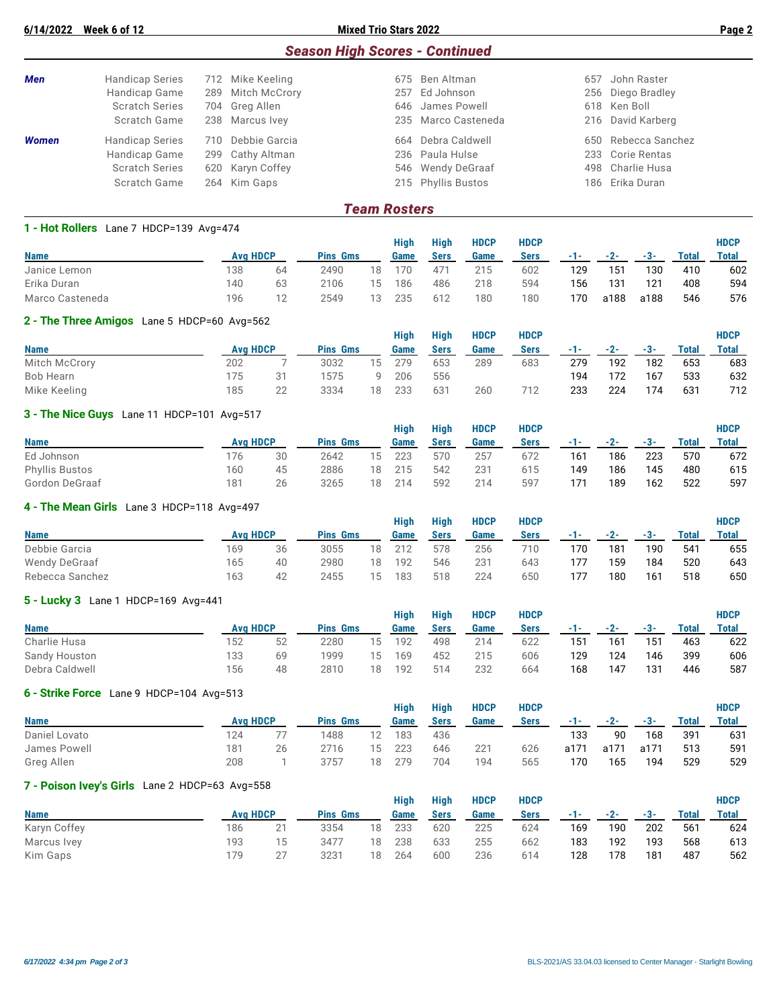|              |                       |     |                   |     | <b>Season High Scores - Continued</b> |     |                     |
|--------------|-----------------------|-----|-------------------|-----|---------------------------------------|-----|---------------------|
| <b>Men</b>   | Handicap Series       |     | 712 Mike Keeling  |     | 675 Ben Altman                        | 657 | John Raster         |
|              | Handicap Game         |     | 289 Mitch McCrory | 257 | Ed Johnson                            |     | 256 Diego Bradley   |
|              | <b>Scratch Series</b> |     | 704 Greg Allen    |     | 646 James Powell                      |     | 618 Ken Boll        |
|              | Scratch Game          |     | 238 Marcus Ivey   |     | 235 Marco Casteneda                   |     | 216 David Karberg   |
| <b>Women</b> | Handicap Series       | 710 | Debbie Garcia     | 664 | Debra Caldwell                        |     | 650 Rebecca Sanchez |
|              | Handicap Game         | 299 | Cathy Altman      |     | 236 Paula Hulse                       |     | 233 Corie Rentas    |
|              | <b>Scratch Series</b> |     | 620 Karyn Coffey  |     | 546 Wendy DeGraaf                     |     | 498 Charlie Husa    |
|              | Scratch Game          |     | 264 Kim Gaps      |     | 215 Phyllis Bustos                    |     | 186 Erika Duran     |
|              |                       |     |                   |     |                                       |     |                     |

#### *Team Rosters*

| 1 - Hot Rollers Lane 7 HDCP=139 Avg=474 |                 |    |                 |    |      |                |             |             |       |      |      |       |              |
|-----------------------------------------|-----------------|----|-----------------|----|------|----------------|-------------|-------------|-------|------|------|-------|--------------|
|                                         |                 |    |                 |    | Hiah | High           | <b>HDCP</b> | <b>HDCP</b> |       |      |      |       | <b>HDCP</b>  |
| <b>Name</b>                             | <b>Ava HDCP</b> |    | <b>Pins Gms</b> |    | Game | Sers           | Game        | <b>Sers</b> | - 1 - | -2-  | -3-  | Total | <b>Total</b> |
| Janice Lemon                            | 138             | 64 | 2490            | 18 | 170  | $47^{\degree}$ | 215         | 602         | 129   | 151  | 130  | 410   | 602          |
| Erika Duran                             | 140             | 63 | 2106            | 15 | 186  | 486            | 218         | 594         | 156   | 131  | 121  | 408   | 594          |
| Marco Casteneda                         | 196             | 12 | 2549            | 13 | 235  | 612            | 180         | 180         | 170   | a188 | a188 | 546   | 576          |

#### **2 - The Three Amigos** Lane 5 HDCP=60 Avg=562

|               |                 |    |                 |    | <b>High</b> | High | <b>HDCP</b> | <b>HDCP</b> |     |       |     |       | <b>HDCP</b> |
|---------------|-----------------|----|-----------------|----|-------------|------|-------------|-------------|-----|-------|-----|-------|-------------|
| <b>Name</b>   | <b>Avg HDCP</b> |    | <b>Pins Gms</b> |    | Game        | Sers | Game        | <b>Sers</b> | -1- | $-2-$ | -3- | Total | Total       |
| Mitch McCrory | 202             |    | 3032            | 15 | 279         | 653  | 289         | 683         | 279 | 192   | 182 | 653   | 683         |
| Bob Hearn     | 175             | 31 | 1575            |    | 206         | 556  |             |             | 194 | 172   | 167 | 533   | 632         |
| Mike Keeling  | 185             | 22 | 3334            | 18 | 233         | 631  | 260         | 712         | 233 | 224   | 174 | 631   | 712         |

#### **3 - The Nice Guys** Lane 11 HDCP=101 Avg=517

|                |                 |    |                 |    | <b>High</b> | <b>High</b> | <b>HDCP</b> | <b>HDCP</b> |       |       |       |       | <b>HDCP</b>  |
|----------------|-----------------|----|-----------------|----|-------------|-------------|-------------|-------------|-------|-------|-------|-------|--------------|
| <b>Name</b>    | <b>Avg HDCP</b> |    | <b>Pins Gms</b> |    | Game        | Sers        | Game        | Sers        | - 1 - | $-2-$ | $-3-$ | Total | <b>Total</b> |
| Ed Johnson     | 176             | 30 | 2642            | 15 | 223         | 570         | 257         | 672         | 161   | 186   | 223   | 570   | 672          |
| Phyllis Bustos | 160             | 45 | 2886            | 18 | 215         | 542         | 231         | 615         | 149   | 186   | 145   | 480   | 615          |
| Gordon DeGraaf | 181             | 26 | 3265            | 18 | 214         | 592         | 214         | 597         | 171   | 189   | 162   | 522   | 597          |

#### **4 - The Mean Girls** Lane 3 HDCP=118 Avg=497

|                 |                 |    |                 |    | Hiah | <b>High</b> | <b>HDCP</b>     | HDCP |     |       |     |       | <b>HDCP</b> |
|-----------------|-----------------|----|-----------------|----|------|-------------|-----------------|------|-----|-------|-----|-------|-------------|
| <b>Name</b>     | <b>Ava HDCP</b> |    | <b>Pins Gms</b> |    | Game | Sers        | Game            | Sers | --  | $-2-$ | -3- | Total | Total       |
| Debbie Garcia   | 169             | 36 | 3055            | 18 | 212  | 578         | 256             | 710  | 170 | 181   | 190 | 541   | 655         |
| Wendy DeGraaf   | 165             | 40 | 2980            | 18 | 192  | 546         | 23 <sup>1</sup> | 643  | 177 | 159   | 184 | 520   | 643         |
| Rebecca Sanchez | 163             | 42 | 2455            | 15 | 183  | 518         | 224             | 650  | 177 | 180   | 161 | 518   | 650         |

#### **5 - Lucky 3** Lane 1 HDCP=169 Avg=441

|                |     |                 |                 |    | Hiah | <b>High</b> | <b>HDCP</b> | <b>HDCP</b> |         |     |     |              | <b>HDCP</b>  |
|----------------|-----|-----------------|-----------------|----|------|-------------|-------------|-------------|---------|-----|-----|--------------|--------------|
| <b>Name</b>    |     | <b>Avg HDCP</b> | <b>Pins Gms</b> |    | Game | Sers        | Game        | Sers        | and the | -2- | -3- | <b>Total</b> | <b>Total</b> |
| Charlie Husa   | 152 | 52              | 2280            | 15 | 192  | 498         | 214         | 622         | 151     | 161 | 151 | 463          | 622          |
| Sandy Houston  | 133 | 69              | 1999            | 15 | 169  | 452         | 215         | 606         | 129     | 124 | 146 | 399          | 606          |
| Debra Caldwell | 156 | 48              | 2810            | 18 | 192  | 514         | 232         | 664         | 168     | 147 | 131 | 446          | 587          |

#### **6 - Strike Force** Lane 9 HDCP=104 Avg=513

|     |    |                 |    |                 | <b>High</b> | <b>HDCP</b> | <b>HDCP</b> |       |      |       |       | <b>HDCP</b> |
|-----|----|-----------------|----|-----------------|-------------|-------------|-------------|-------|------|-------|-------|-------------|
|     |    |                 |    | Game            | Sers        | Game        | Sers        | - 1 - | -2-  | $-3-$ | Total | Total       |
| 124 |    | 1488            |    | 183             | 436         |             |             | 133   | 90   | 168   | 391   | 631         |
| 181 | 26 | 2716            | 15 | 223             | 646         | 221         | 626         | a171  | a171 | a171  | 513   | 591         |
| 208 |    | 3757            | 18 | 279             | 704         | 194         | 565         | 170   | 165  | 194   | 529   | 529         |
|     |    | <b>Avg HDCP</b> |    | <b>Pins Gms</b> | Hiah        |             |             |       |      |       |       |             |

### **7 - Poison Ivey's Girls** Lane 2 HDCP=63 Avg=558

|              |     |                 |                 |    | Hiah | Hiah | <b>HDCP</b> | <b>HDCP</b> |       |             |     |       | <b>HDCP</b> |
|--------------|-----|-----------------|-----------------|----|------|------|-------------|-------------|-------|-------------|-----|-------|-------------|
| <b>Name</b>  |     | <b>Ava HDCP</b> | <b>Pins Gms</b> |    | Game | Sers | Game        | <b>Sers</b> | $-1-$ | $-2$ - $-2$ | -3- | Total | Total       |
| Karyn Coffey | 186 | 21              | 3354            | 18 | 233  | 620  | 225         | 624         | 169   | 190         | 202 | 561   | 624         |
| Marcus Ivey  | 193 | 15              | 3477            | 18 | 238  | 633  | 255         | 662         | 183   | 192         | 193 | 568   | 613         |
| Kim Gaps     | 179 | クフ              | 3231            | 18 | 264  | 600  | 236         | 614         | 128   | 178         | 181 | 487   | 562         |